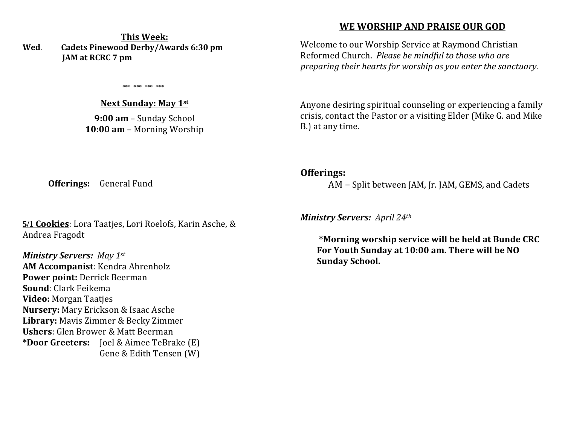#### **This Week: Wed**. **Cadets Pinewood Derby/Awards 6:30 pm JAM at RCRC 7 pm**

\*\*\* \*\*\* \*\*\* \*\*\*

#### **Next Sunday: May 1st**

**9:00 am** – Sunday School **10:00 am** – Morning Worship

## **WE WORSHIP AND PRAISE OUR GOD**

Welcome to our Worship Service at Raymond Christian Reformed Church. *Please be mindful to those who are preparing their hearts for worship as you enter the sanctuary.*

Anyone desiring spiritual counseling or experiencing a family crisis, contact the Pastor or a visiting Elder (Mike G. and Mike B.) at any time.

#### **Offerings:**

AM – Split between JAM, Jr. JAM, GEMS, and Cadets

*Ministry Servers: April 24th* 

 **\*Morning worship service will be held at Bunde CRC For Youth Sunday at 10:00 am. There will be NO Sunday School.** 

**Offerings:** General Fund

**5/1 Cookies**: Lora Taatjes, Lori Roelofs, Karin Asche, & Andrea Fragodt

*Ministry Servers: May 1st* **AM Accompanist**: Kendra Ahrenholz **Power point:** Derrick Beerman **Sound**: Clark Feikema **Video:** Morgan Taatjes **Nursery:** Mary Erickson & Isaac Asche **Library:** Mavis Zimmer & Becky Zimmer **Ushers**: Glen Brower & Matt Beerman **\*Door Greeters:** Joel & Aimee TeBrake (E) Gene & Edith Tensen (W)